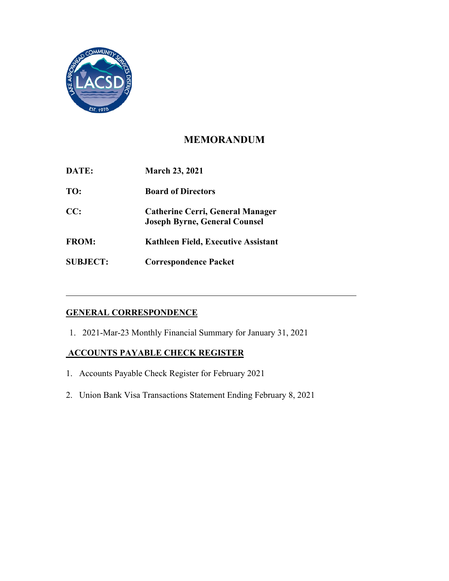

# **MEMORANDUM**

| DATE:           | <b>March 23, 2021</b>                                                           |
|-----------------|---------------------------------------------------------------------------------|
| TO:             | <b>Board of Directors</b>                                                       |
| CC:             | <b>Catherine Cerri, General Manager</b><br><b>Joseph Byrne, General Counsel</b> |
| <b>FROM:</b>    | Kathleen Field, Executive Assistant                                             |
| <b>SUBJECT:</b> | <b>Correspondence Packet</b>                                                    |

## **GENERAL CORRESPONDENCE**

1. 2021-Mar-23 Monthly Financial Summary for January 31, 2021

### **ACCOUNTS PAYABLE CHECK REGISTER**

- 1. Accounts Payable Check Register for February 2021
- 2. Union Bank Visa Transactions Statement Ending February 8, 2021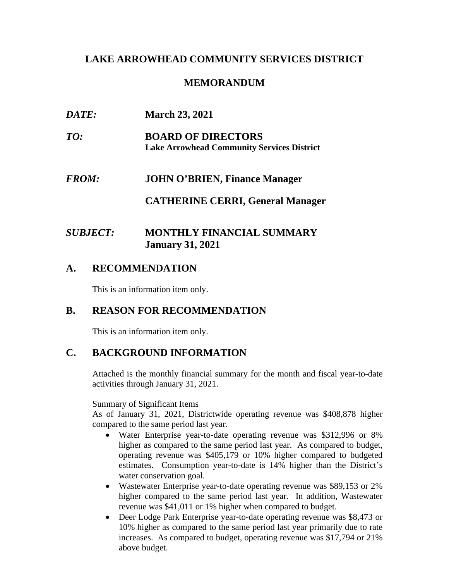## **LAKE ARROWHEAD COMMUNITY SERVICES DISTRICT**

## **MEMORANDUM**

| DATE:        | <b>March 23, 2021</b>                                                          |
|--------------|--------------------------------------------------------------------------------|
| TO:          | <b>BOARD OF DIRECTORS</b><br><b>Lake Arrowhead Community Services District</b> |
| <b>FROM:</b> | <b>JOHN O'BRIEN, Finance Manager</b>                                           |
|              | <b>CATHERINE CERRI, General Manager</b>                                        |

## *SUBJECT:* **MONTHLY FINANCIAL SUMMARY January 31, 2021**

### **A. RECOMMENDATION**

This is an information item only.

## **B. REASON FOR RECOMMENDATION**

This is an information item only.

## **C. BACKGROUND INFORMATION**

Attached is the monthly financial summary for the month and fiscal year-to-date activities through January 31, 2021.

Summary of Significant Items

As of January 31, 2021, Districtwide operating revenue was \$408,878 higher compared to the same period last year.

- Water Enterprise year-to-date operating revenue was \$312,996 or 8% higher as compared to the same period last year. As compared to budget, operating revenue was \$405,179 or 10% higher compared to budgeted estimates. Consumption year-to-date is 14% higher than the District's water conservation goal.
- Wastewater Enterprise year-to-date operating revenue was \$89,153 or 2% higher compared to the same period last year. In addition, Wastewater revenue was \$41,011 or 1% higher when compared to budget.
- Deer Lodge Park Enterprise year-to-date operating revenue was \$8,473 or 10% higher as compared to the same period last year primarily due to rate increases. As compared to budget, operating revenue was \$17,794 or 21% above budget.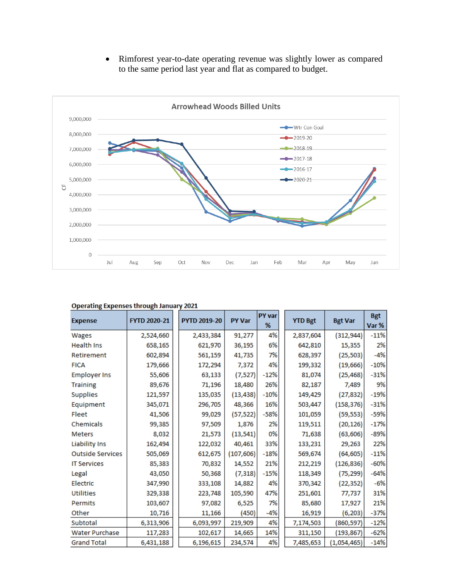• Rimforest year-to-date operating revenue was slightly lower as compared to the same period last year and flat as compared to budget.



#### **Operating Expenses through January 2021**

| <b>Expense</b>          | FYTD 2020-21 | <b>PYTD 2019-20</b> | <b>PY Var</b> | <b>PY var</b><br>% | <b>YTD Bgt</b> | <b>Bgt Var</b> | <b>Bgt</b><br>Var % |
|-------------------------|--------------|---------------------|---------------|--------------------|----------------|----------------|---------------------|
| Wages                   | 2,524,660    | 2,433,384           | 91,277        | 4%                 | 2,837,604      | (312, 944)     | $-11%$              |
| <b>Health Ins</b>       | 658,165      | 621,970             | 36,195        | 6%                 | 642,810        | 15,355         | 2%                  |
| Retirement              | 602,894      | 561,159             | 41,735        | 7%                 | 628,397        | (25, 503)      | $-4%$               |
| <b>FICA</b>             | 179,666      | 172,294             | 7,372         | 4%                 | 199,332        | (19, 666)      | $-10%$              |
| <b>Employer Ins</b>     | 55,606       | 63,133              | (7, 527)      | $-12%$             | 81,074         | (25, 468)      | $-31%$              |
| <b>Training</b>         | 89,676       | 71,196              | 18,480        | 26%                | 82,187         | 7,489          | 9%                  |
| <b>Supplies</b>         | 121,597      | 135,035             | (13, 438)     | $-10%$             | 149,429        | (27, 832)      | $-19%$              |
| Equipment               | 345,071      | 296,705             | 48,366        | 16%                | 503,447        | (158, 376)     | $-31%$              |
| Fleet                   | 41,506       | 99,029              | (57, 522)     | $-58%$             | 101,059        | (59, 553)      | $-59%$              |
| Chemicals               | 99,385       | 97,509              | 1,876         | 2%                 | 119,511        | (20, 126)      | $-17%$              |
| <b>Meters</b>           | 8,032        | 21,573              | (13, 541)     | 0%                 | 71,638         | (63, 606)      | -89%                |
| <b>Liability Ins</b>    | 162,494      | 122,032             | 40,461        | 33%                | 133,231        | 29,263         | 22%                 |
| <b>Outside Services</b> | 505,069      | 612,675             | (107, 606)    | $-18%$             | 569,674        | (64, 605)      | $-11%$              |
| <b>IT Services</b>      | 85,383       | 70,832              | 14,552        | 21%                | 212,219        | (126, 836)     | $-60%$              |
| Legal                   | 43,050       | 50,368              | (7, 318)      | $-15%$             | 118,349        | (75, 299)      | $-64%$              |
| Electric                | 347,990      | 333,108             | 14,882        | 4%                 | 370,342        | (22, 352)      | $-6%$               |
| <b>Utilities</b>        | 329,338      | 223,748             | 105,590       | 47%                | 251,601        | 77,737         | 31%                 |
| Permits                 | 103,607      | 97,082              | 6,525         | 7%                 | 85,680         | 17,927         | 21%                 |
| Other                   | 10,716       | 11,166              | (450)         | $-4%$              | 16,919         | (6,203)        | $-37%$              |
| Subtotal                | 6,313,906    | 6,093,997           | 219,909       | 4%                 | 7,174,503      | (860, 597)     | $-12%$              |
| Water Purchase          | 117,283      | 102,617             | 14,665        | 14%                | 311,150        | (193, 867)     | $-62%$              |
| <b>Grand Total</b>      | 6,431,188    | 6,196,615           | 234,574       | 4%                 | 7,485,653      | (1,054,465)    | $-14%$              |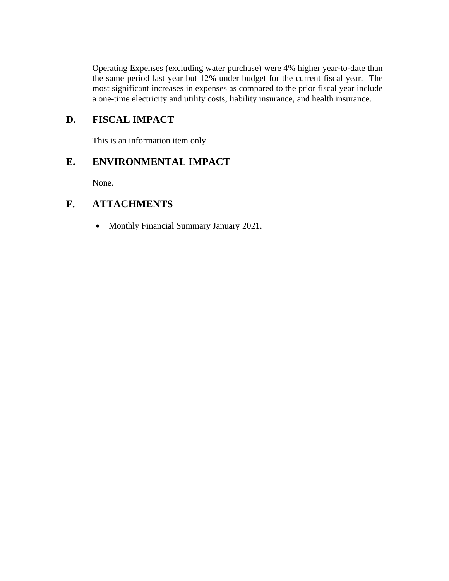Operating Expenses (excluding water purchase) were 4% higher year-to-date than the same period last year but 12% under budget for the current fiscal year. The most significant increases in expenses as compared to the prior fiscal year include a one-time electricity and utility costs, liability insurance, and health insurance.

# **D. FISCAL IMPACT**

This is an information item only.

## **E. ENVIRONMENTAL IMPACT**

None.

## **F. ATTACHMENTS**

• Monthly Financial Summary January 2021.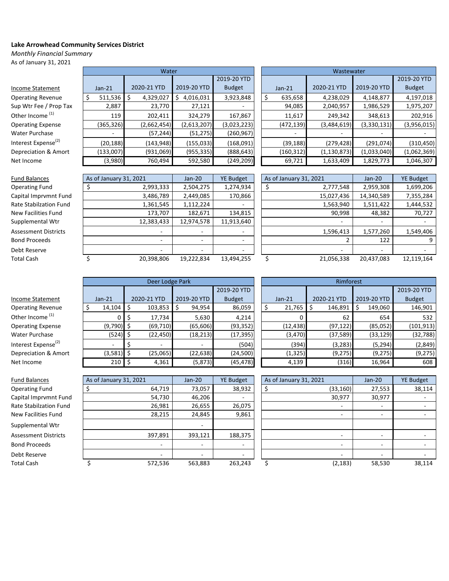#### **Lake Arrowhead Community Services District**

*Monthly Financial Summary*

As of January 31, 2021

|                                 |              | Water       |                |               |            | Wastewater    |             |               |
|---------------------------------|--------------|-------------|----------------|---------------|------------|---------------|-------------|---------------|
|                                 |              |             |                | 2019-20 YTD   |            |               |             | 2019-20 YTD   |
| Income Statement                | $Jan-21$     | 2020-21 YTD | 2019-20 YTD    | <b>Budget</b> | $Jan-21$   | 2020-21 YTD   | 2019-20 YTD | <b>Budget</b> |
| <b>Operating Revenue</b>        | $511,536$ \$ | 4,329,027   | 4,016,031<br>S | 3,923,848     | 635,658    | 4,238,029     | 4,148,877   | 4,197,018     |
| Sup Wtr Fee / Prop Tax          | 2,887        | 23,770      | 27,121         |               | 94,085     | 2,040,957     | 1,986,529   | 1,975,207     |
| Other Income <sup>(1)</sup>     | 119          | 202,411     | 324,279        | 167,867       | 11,617     | 249,342       | 348,613     | 202,916       |
| <b>Operating Expense</b>        | (365, 326)   | (2,662,454) | (2,613,207)    | (3,023,223)   | (472, 139) | (3,484,619)   | (3,330,131) | (3,956,015)   |
| Water Purchase                  |              | (57, 244)   | (51, 275)      | (260, 967)    | -          |               |             |               |
| Interest Expense <sup>(2)</sup> | (20, 188)    | (143, 948)  | (155, 033)     | (168,091)     | (39, 188)  | (279, 428)    | (291, 074)  | (310, 450)    |
| Depreciation & Amort            | (133,007)    | (931,069)   | (955, 335)     | (888, 643)    | (160, 312) | (1, 130, 873) | (1,033,040) | (1,062,369)   |
| Net Income                      | (3,980)      | 760,494     | 592,580        | (249, 209)    | 69,721     | 1,633,409     | 1,829,773   | 1,046,307     |
|                                 |              |             |                |               |            |               |             |               |

| <b>Fund Balances</b>        | As of January 31, 2021   | $Jan-20$                 | <b>YE Budget</b> | As of January 31, 2021 | $Jan-20$                 | <b>YE Budget</b> |
|-----------------------------|--------------------------|--------------------------|------------------|------------------------|--------------------------|------------------|
| <b>Operating Fund</b>       | 2,993,333                | 2,504,275                | 1,274,934        | 2,777,548              | 2,959,308                | 1,699,206        |
| Capital Imprymnt Fund       | 3,486,789                | 2,449,085                | 170,866          | 15,027,436             | 14,340,589               | 7,355,284        |
| Rate Stabilzation Fund      | 1,361,545                | 1,112,224                |                  | 1,563,940              | 1,511,422                | 1,444,532        |
| <b>New Facilities Fund</b>  | 173,707                  | 182,671                  | 134,815          | 90,998                 | 48,382                   | 70,727           |
| Supplemental Wtr            | 12,383,433               | 12,974,578               | 11,913,640       |                        | $\overline{\phantom{a}}$ |                  |
| <b>Assessment Districts</b> | $\overline{\phantom{a}}$ | $\overline{\phantom{0}}$ |                  | 1,596,413              | 1,577,260                | 1,549,406        |
| <b>Bond Proceeds</b>        | $\overline{a}$           | $\overline{\phantom{a}}$ |                  |                        | 122                      |                  |
| Debt Reserve                | $\overline{\phantom{a}}$ | $\overline{\phantom{0}}$ | -                |                        | $\overline{\phantom{a}}$ |                  |
| Total Cash                  | 20,398,806               | 19,222,834               | 13,494,255       | 21,056,338             | 20,437,083               | 12,119,164       |
|                             |                          |                          |                  |                        |                          |                  |

| As of January 31, 2021 |                | $Jan-20$   | <b>YE Budget</b> |
|------------------------|----------------|------------|------------------|
| \$                     | 2,777,548      | 2,959,308  | 1,699,206        |
|                        | 15,027,436     | 14,340,589 | 7,355,284        |
|                        | 1,563,940      | 1,511,422  | 1,444,532        |
|                        | 90,998         | 48,382     | 70,727           |
|                        |                |            |                  |
|                        | 1,596,413      | 1,577,260  | 1,549,406        |
|                        | $\overline{2}$ | 122        | 9                |
|                        |                |            |                  |
| \$                     | 21,056,338     | 20,437,083 | 12,119,164       |

|                                 | Deer Lodge Park<br>Rimforest |                          |             |               |  |           |             |             |               |
|---------------------------------|------------------------------|--------------------------|-------------|---------------|--|-----------|-------------|-------------|---------------|
|                                 |                              |                          |             | 2019-20 YTD   |  |           |             |             | 2019-20 YTD   |
| Income Statement                | $Jan-21$                     | 2020-21 YTD              | 2019-20 YTD | <b>Budget</b> |  | $Jan-21$  | 2020-21 YTD | 2019-20 YTD | <b>Budget</b> |
| <b>Operating Revenue</b>        | $14,104$ \$                  | 103,853                  | 94,954      | 86,059        |  | 21,765    | 146,891     | 149,060     | 146,901       |
| Other Income <sup>(1)</sup>     |                              | 17,734                   | 5,630       | 4,214         |  |           | 62          | 654         | 532           |
| <b>Operating Expense</b>        | $(9,790)$ \$                 | (69, 710)                | (65, 606)   | (93, 352)     |  | (12, 438) | (97, 122)   | (85,052)    | (101, 913)    |
| Water Purchase                  | $(524)$ \$                   | (22, 450)                | (18, 213)   | (17, 395)     |  | (3, 470)  | (37,589)    | (33, 129)   | (32, 788)     |
| Interest Expense <sup>(2)</sup> |                              | $\overline{\phantom{0}}$ |             | (504)         |  | (394)     | (3, 283)    | (5, 294)    | (2, 849)      |
| Depreciation & Amort            | $(3,581)$ \$                 | (25,065)                 | (22, 638)   | (24,500)      |  | (1, 325)  | (9, 275)    | (9,275)     | (9, 275)      |
| Net Income                      | $210 \,$ \$                  | 4,361                    | (5, 873)    | (45, 478)     |  | 4,139     | (316)       | 16,964      | 608           |
|                                 |                              |                          |             |               |  |           |             |             |               |

| Deer Lodge Park |              |               | Rimforest |              |  |               |    |             |               |
|-----------------|--------------|---------------|-----------|--------------|--|---------------|----|-------------|---------------|
|                 |              | 2019-20 YTD   |           |              |  |               |    |             | 2019-20 YTD   |
| 21 YTD          | 2019-20 YTD  | <b>Budget</b> |           | $Jan-21$     |  | 2020-21 YTD   |    | 2019-20 YTD | <b>Budget</b> |
| 103,853         | 94,954<br>\$ | 86,059        |           | \$<br>21,765 |  | \$<br>146,891 | \$ | 149,060     | 146,901       |
| 17,734          | 5,630        | 4,214         |           | 0            |  | 62            |    | 654         | 532           |
| (69, 710)       | (65, 606)    | (93,352)      |           | (12, 438)    |  | (97, 122)     |    | (85,052)    | (101, 913)    |
| (22, 450)       | (18, 213)    | (17, 395)     |           | (3, 470)     |  | (37,589)      |    | (33, 129)   | (32,788)      |
|                 |              | (504)         |           | (394)        |  | (3, 283)      |    | (5, 294)    | (2,849)       |
| (25,065)        | (22, 638)    | (24,500)      |           | (1, 325)     |  | (9,275)       |    | (9, 275)    | (9, 275)      |
| 4,361           | (5, 873)     | (45, 478)     |           | 4,139        |  | (316)         |    | 16,964      | 608           |

| <b>Fund Balances</b>        | As of January 31, 2021 | $Jan-20$ | <b>YE Budget</b> | As of January 31, 2021 | $Jan-20$ | <b>YE Budget</b> |
|-----------------------------|------------------------|----------|------------------|------------------------|----------|------------------|
| <b>Operating Fund</b>       | 64,719                 | 73,057   | 38,932           | (33, 160)              | 27,553   | 38,114           |
| Capital Imprvmnt Fund       | 54,730                 | 46,206   |                  | 30,977                 | 30,977   |                  |
| Rate Stabilzation Fund      | 26,981                 | 26,655   | 26,075           |                        | ۰        |                  |
| New Facilities Fund         | 28,215                 | 24,845   | 9,861            |                        | ٠        |                  |
| Supplemental Wtr            |                        | ۰        |                  |                        |          |                  |
| <b>Assessment Districts</b> | 397,891                | 393,121  | 188,375          |                        |          |                  |
| <b>Bond Proceeds</b>        |                        | ٠        |                  |                        | ٠        |                  |
| Debt Reserve                |                        |          |                  |                        |          |                  |
| <b>Total Cash</b>           | 572,536                | 563,883  | 263,243          | (2, 183)               | 58,530   | 38,114           |

| As of January 31, 2021 |           | Jan-20 | <b>YE Budget</b> |
|------------------------|-----------|--------|------------------|
| \$                     | (33, 160) | 27,553 | 38,114           |
|                        | 30,977    | 30,977 |                  |
|                        |           |        |                  |
|                        |           |        |                  |
|                        |           |        |                  |
|                        |           |        |                  |
|                        |           |        |                  |
|                        |           |        |                  |
| \$                     | (2, 183)  | 58,530 | 38,114           |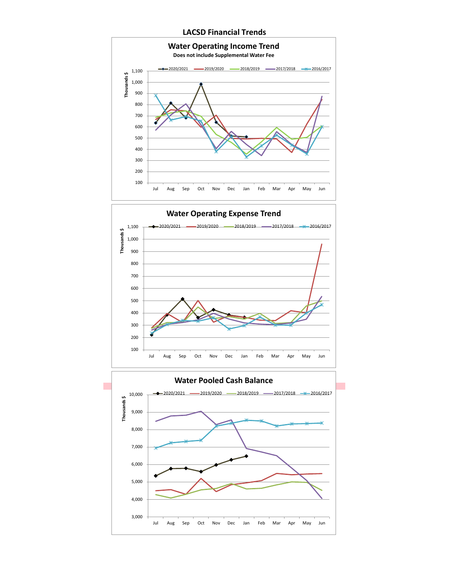### **LACSD Financial Trends**



 100 200 300 400 500 600 700 800 900 1,000 1,100 Jul Aug Sep Oct Nov Dec Jan Feb Mar Apr May Jun **Thousands \$ Water Operating Expense Trend** 2020/2021 2019/2020 2018/2019 2017/2018 2016/2017

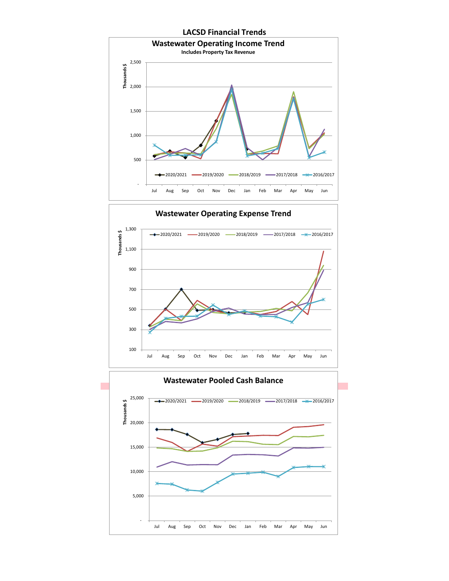

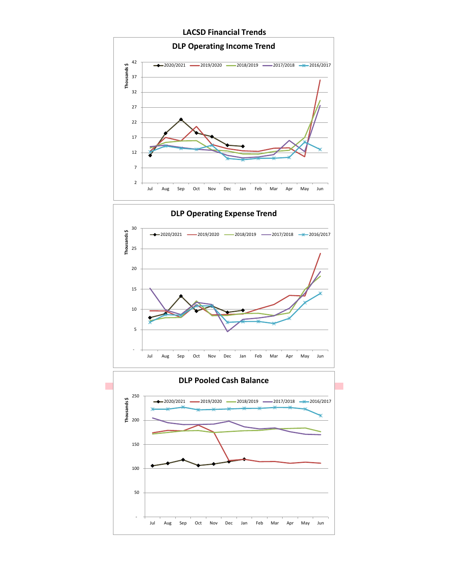**LACSD Financial Trends**

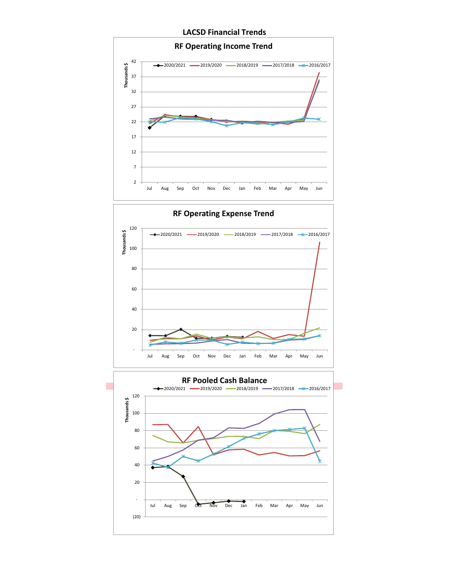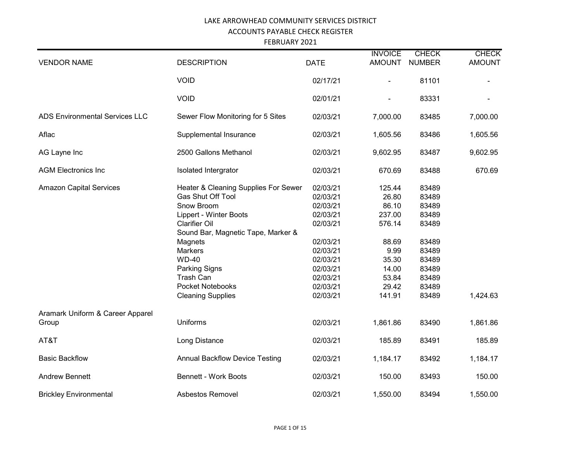FEBRUARY 2021

| <b>VENDOR NAME</b>                        | <b>DESCRIPTION</b>                                                                                                                                                                                                                                                                         | <b>DATE</b>                                                                                                                                  | <b>INVOICE</b><br><b>AMOUNT</b>                                                                             | <b>CHECK</b><br><b>NUMBER</b>                                                                            | <b>CHECK</b><br><b>AMOUNT</b> |
|-------------------------------------------|--------------------------------------------------------------------------------------------------------------------------------------------------------------------------------------------------------------------------------------------------------------------------------------------|----------------------------------------------------------------------------------------------------------------------------------------------|-------------------------------------------------------------------------------------------------------------|----------------------------------------------------------------------------------------------------------|-------------------------------|
|                                           | <b>VOID</b>                                                                                                                                                                                                                                                                                | 02/17/21                                                                                                                                     | $\blacksquare$                                                                                              | 81101                                                                                                    | $\blacksquare$                |
|                                           | <b>VOID</b>                                                                                                                                                                                                                                                                                | 02/01/21                                                                                                                                     | $\blacksquare$                                                                                              | 83331                                                                                                    |                               |
| <b>ADS Environmental Services LLC</b>     | Sewer Flow Monitoring for 5 Sites                                                                                                                                                                                                                                                          | 02/03/21                                                                                                                                     | 7,000.00                                                                                                    | 83485                                                                                                    | 7,000.00                      |
| Aflac                                     | Supplemental Insurance                                                                                                                                                                                                                                                                     | 02/03/21                                                                                                                                     | 1,605.56                                                                                                    | 83486                                                                                                    | 1,605.56                      |
| AG Layne Inc                              | 2500 Gallons Methanol                                                                                                                                                                                                                                                                      | 02/03/21                                                                                                                                     | 9,602.95                                                                                                    | 83487                                                                                                    | 9,602.95                      |
| <b>AGM Electronics Inc.</b>               | Isolated Intergrator                                                                                                                                                                                                                                                                       | 02/03/21                                                                                                                                     | 670.69                                                                                                      | 83488                                                                                                    | 670.69                        |
| <b>Amazon Capital Services</b>            | Heater & Cleaning Supplies For Sewer<br>Gas Shut Off Tool<br>Snow Broom<br>Lippert - Winter Boots<br><b>Clarifier Oil</b><br>Sound Bar, Magnetic Tape, Marker &<br>Magnets<br>Markers<br><b>WD-40</b><br>Parking Signs<br><b>Trash Can</b><br>Pocket Notebooks<br><b>Cleaning Supplies</b> | 02/03/21<br>02/03/21<br>02/03/21<br>02/03/21<br>02/03/21<br>02/03/21<br>02/03/21<br>02/03/21<br>02/03/21<br>02/03/21<br>02/03/21<br>02/03/21 | 125.44<br>26.80<br>86.10<br>237.00<br>576.14<br>88.69<br>9.99<br>35.30<br>14.00<br>53.84<br>29.42<br>141.91 | 83489<br>83489<br>83489<br>83489<br>83489<br>83489<br>83489<br>83489<br>83489<br>83489<br>83489<br>83489 | 1,424.63                      |
| Aramark Uniform & Career Apparel<br>Group | <b>Uniforms</b>                                                                                                                                                                                                                                                                            | 02/03/21                                                                                                                                     | 1,861.86                                                                                                    | 83490                                                                                                    | 1,861.86                      |
| AT&T                                      | Long Distance                                                                                                                                                                                                                                                                              | 02/03/21                                                                                                                                     | 185.89                                                                                                      | 83491                                                                                                    | 185.89                        |
| <b>Basic Backflow</b>                     | <b>Annual Backflow Device Testing</b>                                                                                                                                                                                                                                                      | 02/03/21                                                                                                                                     | 1,184.17                                                                                                    | 83492                                                                                                    | 1,184.17                      |
| <b>Andrew Bennett</b>                     | <b>Bennett - Work Boots</b>                                                                                                                                                                                                                                                                | 02/03/21                                                                                                                                     | 150.00                                                                                                      | 83493                                                                                                    | 150.00                        |
| <b>Brickley Environmental</b>             | <b>Asbestos Removel</b>                                                                                                                                                                                                                                                                    | 02/03/21                                                                                                                                     | 1,550.00                                                                                                    | 83494                                                                                                    | 1,550.00                      |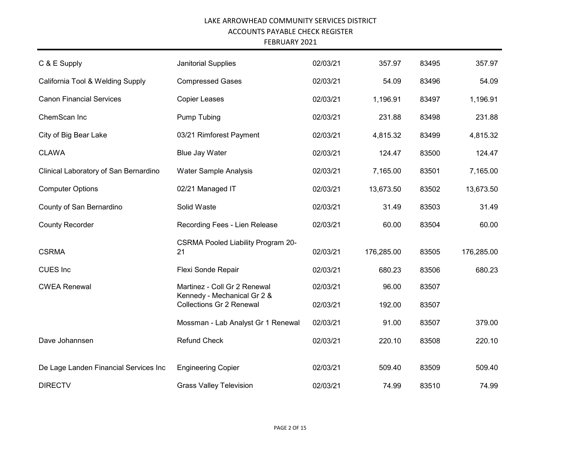FEBRUARY 2021

| C & E Supply                          | Janitorial Supplies                                         | 02/03/21 | 357.97     | 83495 | 357.97     |
|---------------------------------------|-------------------------------------------------------------|----------|------------|-------|------------|
| California Tool & Welding Supply      | <b>Compressed Gases</b>                                     | 02/03/21 | 54.09      | 83496 | 54.09      |
| <b>Canon Financial Services</b>       | <b>Copier Leases</b>                                        | 02/03/21 | 1,196.91   | 83497 | 1,196.91   |
| ChemScan Inc                          | <b>Pump Tubing</b>                                          | 02/03/21 | 231.88     | 83498 | 231.88     |
| City of Big Bear Lake                 | 03/21 Rimforest Payment                                     | 02/03/21 | 4,815.32   | 83499 | 4,815.32   |
| <b>CLAWA</b>                          | <b>Blue Jay Water</b>                                       | 02/03/21 | 124.47     | 83500 | 124.47     |
| Clinical Laboratory of San Bernardino | <b>Water Sample Analysis</b>                                | 02/03/21 | 7,165.00   | 83501 | 7,165.00   |
| <b>Computer Options</b>               | 02/21 Managed IT                                            | 02/03/21 | 13,673.50  | 83502 | 13,673.50  |
| County of San Bernardino              | Solid Waste                                                 | 02/03/21 | 31.49      | 83503 | 31.49      |
| <b>County Recorder</b>                | Recording Fees - Lien Release                               | 02/03/21 | 60.00      | 83504 | 60.00      |
| <b>CSRMA</b>                          | <b>CSRMA Pooled Liability Program 20-</b><br>21             | 02/03/21 | 176,285.00 | 83505 | 176,285.00 |
| <b>CUES</b> Inc                       | Flexi Sonde Repair                                          | 02/03/21 | 680.23     | 83506 | 680.23     |
| <b>CWEA Renewal</b>                   | Martinez - Coll Gr 2 Renewal<br>Kennedy - Mechanical Gr 2 & | 02/03/21 | 96.00      | 83507 |            |
|                                       | <b>Collections Gr 2 Renewal</b>                             | 02/03/21 | 192.00     | 83507 |            |
|                                       | Mossman - Lab Analyst Gr 1 Renewal                          | 02/03/21 | 91.00      | 83507 | 379.00     |
| Dave Johannsen                        | <b>Refund Check</b>                                         | 02/03/21 | 220.10     | 83508 | 220.10     |
| De Lage Landen Financial Services Inc | <b>Engineering Copier</b>                                   | 02/03/21 | 509.40     | 83509 | 509.40     |
| <b>DIRECTV</b>                        | <b>Grass Valley Television</b>                              | 02/03/21 | 74.99      | 83510 | 74.99      |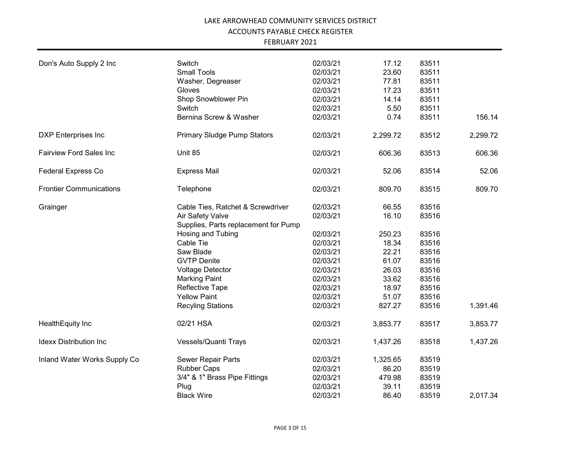| FEBRUARY 2021 |
|---------------|
|---------------|

| Don's Auto Supply 2 Inc        | Switch                                                   | 02/03/21             | 17.12          | 83511          |          |
|--------------------------------|----------------------------------------------------------|----------------------|----------------|----------------|----------|
|                                | <b>Small Tools</b><br>Washer, Degreaser                  | 02/03/21<br>02/03/21 | 23.60<br>77.81 | 83511<br>83511 |          |
|                                | Gloves                                                   | 02/03/21             | 17.23          | 83511          |          |
|                                | Shop Snowblower Pin                                      | 02/03/21             | 14.14          | 83511          |          |
|                                | Switch                                                   | 02/03/21             | 5.50           | 83511          |          |
|                                | Bernina Screw & Washer                                   | 02/03/21             | 0.74           | 83511          | 156.14   |
|                                |                                                          |                      |                |                |          |
| <b>DXP</b> Enterprises Inc     | <b>Primary Sludge Pump Stators</b>                       | 02/03/21             | 2,299.72       | 83512          | 2,299.72 |
| <b>Fairview Ford Sales Inc</b> | Unit 85                                                  | 02/03/21             | 606.36         | 83513          | 606.36   |
| <b>Federal Express Co</b>      | <b>Express Mail</b>                                      | 02/03/21             | 52.06          | 83514          | 52.06    |
| <b>Frontier Communications</b> | Telephone                                                | 02/03/21             | 809.70         | 83515          | 809.70   |
| Grainger                       | Cable Ties, Ratchet & Screwdriver                        | 02/03/21             | 66.55          | 83516          |          |
|                                | Air Safety Valve<br>Supplies, Parts replacement for Pump | 02/03/21             | 16.10          | 83516          |          |
|                                | Hosing and Tubing                                        | 02/03/21             | 250.23         | 83516          |          |
|                                | Cable Tie                                                | 02/03/21             | 18.34          | 83516          |          |
|                                | Saw Blade                                                | 02/03/21             | 22.21          | 83516          |          |
|                                | <b>GVTP Denite</b>                                       | 02/03/21             | 61.07          | 83516          |          |
|                                | Voltage Detector                                         | 02/03/21             | 26.03          | 83516          |          |
|                                | <b>Marking Paint</b>                                     | 02/03/21             | 33.62          | 83516          |          |
|                                | <b>Reflective Tape</b>                                   | 02/03/21             | 18.97          | 83516          |          |
|                                | <b>Yellow Paint</b>                                      | 02/03/21             | 51.07          | 83516          |          |
|                                | <b>Recyling Stations</b>                                 | 02/03/21             | 827.27         | 83516          | 1,391.46 |
| HealthEquity Inc               | 02/21 HSA                                                | 02/03/21             | 3,853.77       | 83517          | 3,853.77 |
| <b>Idexx Distribution Inc.</b> | Vessels/Quanti Trays                                     | 02/03/21             | 1,437.26       | 83518          | 1,437.26 |
| Inland Water Works Supply Co   | Sewer Repair Parts                                       | 02/03/21             | 1,325.65       | 83519          |          |
|                                | <b>Rubber Caps</b>                                       | 02/03/21             | 86.20          | 83519          |          |
|                                | 3/4" & 1" Brass Pipe Fittings                            | 02/03/21             | 479.98         | 83519          |          |
|                                | Plug                                                     | 02/03/21             | 39.11          | 83519          |          |
|                                | <b>Black Wire</b>                                        | 02/03/21             | 86.40          | 83519          | 2,017.34 |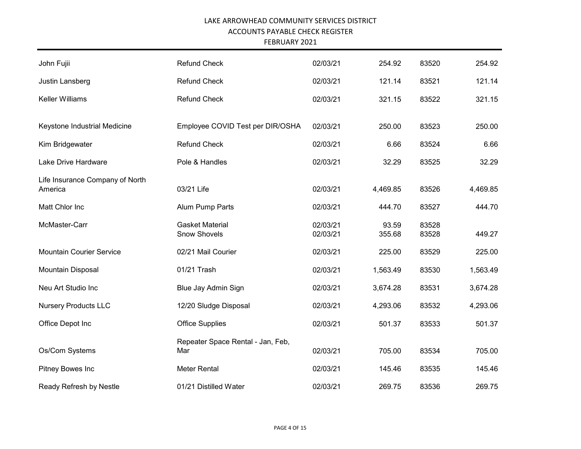| John Fujii                      | <b>Refund Check</b>               | 02/03/21 | 254.92   | 83520 | 254.92   |
|---------------------------------|-----------------------------------|----------|----------|-------|----------|
| Justin Lansberg                 | <b>Refund Check</b>               | 02/03/21 | 121.14   | 83521 | 121.14   |
| Keller Williams                 | <b>Refund Check</b>               | 02/03/21 | 321.15   | 83522 | 321.15   |
|                                 |                                   |          |          |       |          |
| Keystone Industrial Medicine    | Employee COVID Test per DIR/OSHA  | 02/03/21 | 250.00   | 83523 | 250.00   |
| Kim Bridgewater                 | <b>Refund Check</b>               | 02/03/21 | 6.66     | 83524 | 6.66     |
| Lake Drive Hardware             | Pole & Handles                    | 02/03/21 | 32.29    | 83525 | 32.29    |
| Life Insurance Company of North |                                   |          |          |       |          |
| America                         | 03/21 Life                        | 02/03/21 | 4,469.85 | 83526 | 4,469.85 |
| Matt Chlor Inc                  | Alum Pump Parts                   | 02/03/21 | 444.70   | 83527 | 444.70   |
| McMaster-Carr                   | <b>Gasket Material</b>            | 02/03/21 | 93.59    | 83528 |          |
|                                 | <b>Snow Shovels</b>               | 02/03/21 | 355.68   | 83528 | 449.27   |
| <b>Mountain Courier Service</b> | 02/21 Mail Courier                | 02/03/21 | 225.00   | 83529 | 225.00   |
| Mountain Disposal               | 01/21 Trash                       | 02/03/21 | 1,563.49 | 83530 | 1,563.49 |
| Neu Art Studio Inc              | Blue Jay Admin Sign               | 02/03/21 | 3,674.28 | 83531 | 3,674.28 |
| <b>Nursery Products LLC</b>     | 12/20 Sludge Disposal             | 02/03/21 | 4,293.06 | 83532 | 4,293.06 |
| Office Depot Inc                | <b>Office Supplies</b>            | 02/03/21 | 501.37   | 83533 | 501.37   |
|                                 | Repeater Space Rental - Jan, Feb, |          |          |       |          |
| Os/Com Systems                  | Mar                               | 02/03/21 | 705.00   | 83534 | 705.00   |
| Pitney Bowes Inc                | <b>Meter Rental</b>               | 02/03/21 | 145.46   | 83535 | 145.46   |
| Ready Refresh by Nestle         | 01/21 Distilled Water             | 02/03/21 | 269.75   | 83536 | 269.75   |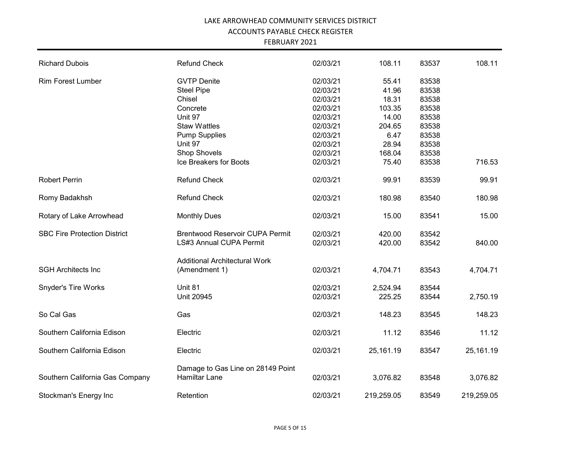| <b>Richard Dubois</b>               | <b>Refund Check</b>                    | 02/03/21 | 108.11     | 83537 | 108.11     |
|-------------------------------------|----------------------------------------|----------|------------|-------|------------|
| <b>Rim Forest Lumber</b>            | <b>GVTP Denite</b>                     | 02/03/21 | 55.41      | 83538 |            |
|                                     | <b>Steel Pipe</b>                      | 02/03/21 | 41.96      | 83538 |            |
|                                     | Chisel                                 | 02/03/21 | 18.31      | 83538 |            |
|                                     | Concrete                               | 02/03/21 | 103.35     | 83538 |            |
|                                     | Unit 97                                | 02/03/21 | 14.00      | 83538 |            |
|                                     | <b>Staw Wattles</b>                    | 02/03/21 | 204.65     | 83538 |            |
|                                     | <b>Pump Supplies</b>                   | 02/03/21 | 6.47       | 83538 |            |
|                                     | Unit 97                                | 02/03/21 | 28.94      | 83538 |            |
|                                     | Shop Shovels                           | 02/03/21 | 168.04     | 83538 |            |
|                                     | Ice Breakers for Boots                 | 02/03/21 | 75.40      | 83538 | 716.53     |
| <b>Robert Perrin</b>                | <b>Refund Check</b>                    | 02/03/21 | 99.91      | 83539 | 99.91      |
| Romy Badakhsh                       | <b>Refund Check</b>                    | 02/03/21 | 180.98     | 83540 | 180.98     |
| Rotary of Lake Arrowhead            | <b>Monthly Dues</b>                    | 02/03/21 | 15.00      | 83541 | 15.00      |
| <b>SBC Fire Protection District</b> | <b>Brentwood Reservoir CUPA Permit</b> | 02/03/21 | 420.00     | 83542 |            |
|                                     | LS#3 Annual CUPA Permit                | 02/03/21 | 420.00     | 83542 | 840.00     |
|                                     | <b>Additional Architectural Work</b>   |          |            |       |            |
| <b>SGH Architects Inc</b>           | (Amendment 1)                          | 02/03/21 | 4,704.71   | 83543 | 4,704.71   |
| <b>Snyder's Tire Works</b>          | Unit 81                                | 02/03/21 | 2,524.94   | 83544 |            |
|                                     | <b>Unit 20945</b>                      | 02/03/21 | 225.25     | 83544 | 2,750.19   |
| So Cal Gas                          | Gas                                    | 02/03/21 | 148.23     | 83545 | 148.23     |
| Southern California Edison          | Electric                               | 02/03/21 | 11.12      | 83546 | 11.12      |
| Southern California Edison          | Electric                               | 02/03/21 | 25,161.19  | 83547 | 25,161.19  |
|                                     | Damage to Gas Line on 28149 Point      |          |            |       |            |
| Southern California Gas Company     | Hamiltar Lane                          | 02/03/21 | 3,076.82   | 83548 | 3,076.82   |
| Stockman's Energy Inc               | Retention                              | 02/03/21 | 219,259.05 | 83549 | 219,259.05 |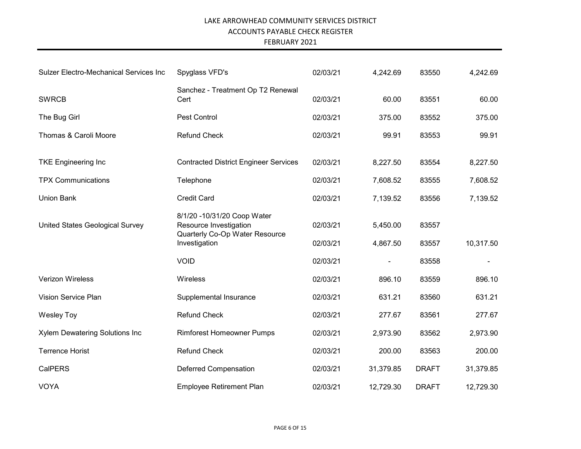| <b>Sulzer Electro-Mechanical Services Inc</b> | Spyglass VFD's                                                                                           | 02/03/21             | 4,242.69             | 83550          | 4,242.69  |
|-----------------------------------------------|----------------------------------------------------------------------------------------------------------|----------------------|----------------------|----------------|-----------|
| <b>SWRCB</b>                                  | Sanchez - Treatment Op T2 Renewal<br>Cert                                                                | 02/03/21             | 60.00                | 83551          | 60.00     |
| The Bug Girl                                  | Pest Control                                                                                             | 02/03/21             | 375.00               | 83552          | 375.00    |
| Thomas & Caroli Moore                         | <b>Refund Check</b>                                                                                      | 02/03/21             | 99.91                | 83553          | 99.91     |
| <b>TKE Engineering Inc</b>                    | <b>Contracted District Engineer Services</b>                                                             | 02/03/21             | 8,227.50             | 83554          | 8,227.50  |
| <b>TPX Communications</b>                     | Telephone                                                                                                | 02/03/21             | 7,608.52             | 83555          | 7,608.52  |
| <b>Union Bank</b>                             | <b>Credit Card</b>                                                                                       | 02/03/21             | 7,139.52             | 83556          | 7,139.52  |
| United States Geological Survey               | 8/1/20 -10/31/20 Coop Water<br>Resource Investigation<br>Quarterly Co-Op Water Resource<br>Investigation | 02/03/21<br>02/03/21 | 5,450.00<br>4,867.50 | 83557<br>83557 | 10,317.50 |
|                                               | <b>VOID</b>                                                                                              | 02/03/21             |                      | 83558          |           |
| Verizon Wireless                              | Wireless                                                                                                 | 02/03/21             | 896.10               | 83559          | 896.10    |
| Vision Service Plan                           | Supplemental Insurance                                                                                   | 02/03/21             | 631.21               | 83560          | 631.21    |
| <b>Wesley Toy</b>                             | <b>Refund Check</b>                                                                                      | 02/03/21             | 277.67               | 83561          | 277.67    |
| Xylem Dewatering Solutions Inc                | <b>Rimforest Homeowner Pumps</b>                                                                         | 02/03/21             | 2,973.90             | 83562          | 2,973.90  |
| <b>Terrence Horist</b>                        | <b>Refund Check</b>                                                                                      | 02/03/21             | 200.00               | 83563          | 200.00    |
| <b>CalPERS</b>                                | Deferred Compensation                                                                                    | 02/03/21             | 31,379.85            | <b>DRAFT</b>   | 31,379.85 |
| <b>VOYA</b>                                   | <b>Employee Retirement Plan</b>                                                                          | 02/03/21             | 12,729.30            | <b>DRAFT</b>   | 12,729.30 |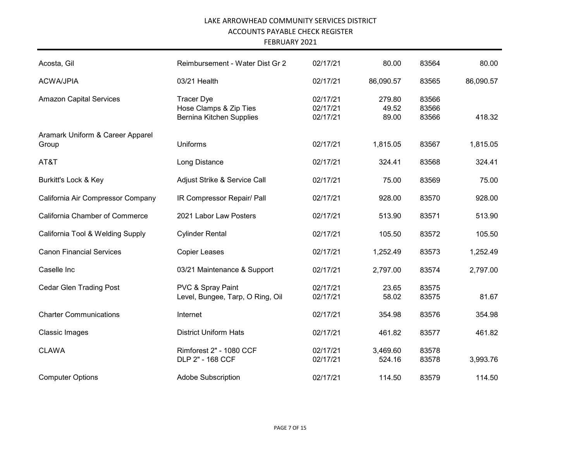| Acosta, Gil                               | Reimbursement - Water Dist Gr 2                                         | 02/17/21                         | 80.00                    | 83564                   | 80.00     |
|-------------------------------------------|-------------------------------------------------------------------------|----------------------------------|--------------------------|-------------------------|-----------|
| <b>ACWA/JPIA</b>                          | 03/21 Health                                                            | 02/17/21                         | 86,090.57                | 83565                   | 86,090.57 |
| <b>Amazon Capital Services</b>            | <b>Tracer Dye</b><br>Hose Clamps & Zip Ties<br>Bernina Kitchen Supplies | 02/17/21<br>02/17/21<br>02/17/21 | 279.80<br>49.52<br>89.00 | 83566<br>83566<br>83566 | 418.32    |
| Aramark Uniform & Career Apparel<br>Group | <b>Uniforms</b>                                                         | 02/17/21                         | 1,815.05                 | 83567                   | 1,815.05  |
| AT&T                                      | Long Distance                                                           | 02/17/21                         | 324.41                   | 83568                   | 324.41    |
| Burkitt's Lock & Key                      | Adjust Strike & Service Call                                            | 02/17/21                         | 75.00                    | 83569                   | 75.00     |
| California Air Compressor Company         | IR Compressor Repair/ Pall                                              | 02/17/21                         | 928.00                   | 83570                   | 928.00    |
| <b>California Chamber of Commerce</b>     | 2021 Labor Law Posters                                                  | 02/17/21                         | 513.90                   | 83571                   | 513.90    |
| California Tool & Welding Supply          | <b>Cylinder Rental</b>                                                  | 02/17/21                         | 105.50                   | 83572                   | 105.50    |
| <b>Canon Financial Services</b>           | <b>Copier Leases</b>                                                    | 02/17/21                         | 1,252.49                 | 83573                   | 1,252.49  |
| Caselle Inc                               | 03/21 Maintenance & Support                                             | 02/17/21                         | 2,797.00                 | 83574                   | 2,797.00  |
| <b>Cedar Glen Trading Post</b>            | PVC & Spray Paint<br>Level, Bungee, Tarp, O Ring, Oil                   | 02/17/21<br>02/17/21             | 23.65<br>58.02           | 83575<br>83575          | 81.67     |
| <b>Charter Communications</b>             | Internet                                                                | 02/17/21                         | 354.98                   | 83576                   | 354.98    |
| <b>Classic Images</b>                     | <b>District Uniform Hats</b>                                            | 02/17/21                         | 461.82                   | 83577                   | 461.82    |
| <b>CLAWA</b>                              | Rimforest 2" - 1080 CCF<br>DLP 2" - 168 CCF                             | 02/17/21<br>02/17/21             | 3,469.60<br>524.16       | 83578<br>83578          | 3,993.76  |
| <b>Computer Options</b>                   | <b>Adobe Subscription</b>                                               | 02/17/21                         | 114.50                   | 83579                   | 114.50    |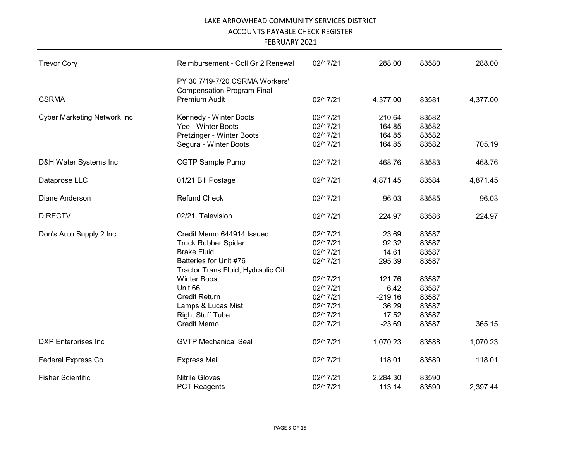| <b>Trevor Cory</b>                 | Reimbursement - Coll Gr 2 Renewal                                   | 02/17/21 | 288.00    | 83580 | 288.00   |
|------------------------------------|---------------------------------------------------------------------|----------|-----------|-------|----------|
|                                    | PY 30 7/19-7/20 CSRMA Workers'<br><b>Compensation Program Final</b> |          |           |       |          |
| <b>CSRMA</b>                       | Premium Audit                                                       | 02/17/21 | 4,377.00  | 83581 | 4,377.00 |
| <b>Cyber Marketing Network Inc</b> | Kennedy - Winter Boots                                              | 02/17/21 | 210.64    | 83582 |          |
|                                    | Yee - Winter Boots                                                  | 02/17/21 | 164.85    | 83582 |          |
|                                    | Pretzinger - Winter Boots                                           | 02/17/21 | 164.85    | 83582 |          |
|                                    | Segura - Winter Boots                                               | 02/17/21 | 164.85    | 83582 | 705.19   |
| D&H Water Systems Inc              | <b>CGTP Sample Pump</b>                                             | 02/17/21 | 468.76    | 83583 | 468.76   |
| Dataprose LLC                      | 01/21 Bill Postage                                                  | 02/17/21 | 4,871.45  | 83584 | 4,871.45 |
| Diane Anderson                     | <b>Refund Check</b>                                                 | 02/17/21 | 96.03     | 83585 | 96.03    |
| <b>DIRECTV</b>                     | 02/21 Television                                                    | 02/17/21 | 224.97    | 83586 | 224.97   |
| Don's Auto Supply 2 Inc            | Credit Memo 644914 Issued                                           | 02/17/21 | 23.69     | 83587 |          |
|                                    | <b>Truck Rubber Spider</b>                                          | 02/17/21 | 92.32     | 83587 |          |
|                                    | <b>Brake Fluid</b>                                                  | 02/17/21 | 14.61     | 83587 |          |
|                                    | Batteries for Unit #76                                              | 02/17/21 | 295.39    | 83587 |          |
|                                    | Tractor Trans Fluid, Hydraulic Oil,                                 |          |           |       |          |
|                                    | <b>Winter Boost</b>                                                 | 02/17/21 | 121.76    | 83587 |          |
|                                    | Unit 66                                                             | 02/17/21 | 6.42      | 83587 |          |
|                                    | <b>Credit Return</b>                                                | 02/17/21 | $-219.16$ | 83587 |          |
|                                    | Lamps & Lucas Mist                                                  | 02/17/21 | 36.29     | 83587 |          |
|                                    | <b>Right Stuff Tube</b>                                             | 02/17/21 | 17.52     | 83587 |          |
|                                    | <b>Credit Memo</b>                                                  | 02/17/21 | $-23.69$  | 83587 | 365.15   |
| <b>DXP</b> Enterprises Inc         | <b>GVTP Mechanical Seal</b>                                         | 02/17/21 | 1,070.23  | 83588 | 1,070.23 |
| <b>Federal Express Co</b>          | <b>Express Mail</b>                                                 | 02/17/21 | 118.01    | 83589 | 118.01   |
| <b>Fisher Scientific</b>           | <b>Nitrile Gloves</b>                                               | 02/17/21 | 2,284.30  | 83590 |          |
|                                    | <b>PCT Reagents</b>                                                 | 02/17/21 | 113.14    | 83590 | 2,397.44 |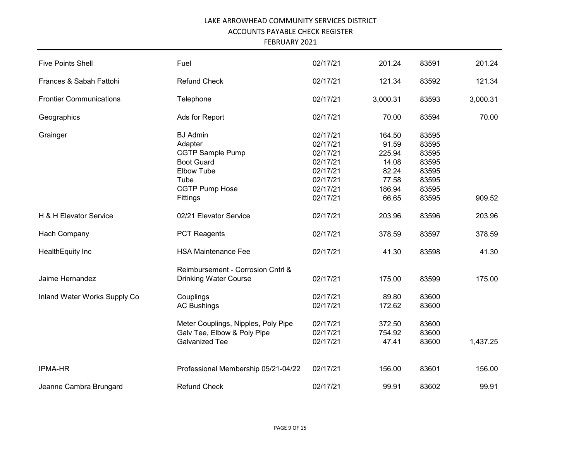| <b>Five Points Shell</b>       | Fuel                                | 02/17/21 | 201.24   | 83591 | 201.24   |
|--------------------------------|-------------------------------------|----------|----------|-------|----------|
| Frances & Sabah Fattohi        | <b>Refund Check</b>                 | 02/17/21 | 121.34   | 83592 | 121.34   |
| <b>Frontier Communications</b> | Telephone                           | 02/17/21 | 3,000.31 | 83593 | 3,000.31 |
| Geographics                    | Ads for Report                      | 02/17/21 | 70.00    | 83594 | 70.00    |
| Grainger                       | <b>BJ</b> Admin                     | 02/17/21 | 164.50   | 83595 |          |
|                                | Adapter                             | 02/17/21 | 91.59    | 83595 |          |
|                                | <b>CGTP Sample Pump</b>             | 02/17/21 | 225.94   | 83595 |          |
|                                | <b>Boot Guard</b>                   | 02/17/21 | 14.08    | 83595 |          |
|                                | <b>Elbow Tube</b>                   | 02/17/21 | 82.24    | 83595 |          |
|                                | Tube                                | 02/17/21 | 77.58    | 83595 |          |
|                                | CGTP Pump Hose                      | 02/17/21 | 186.94   | 83595 |          |
|                                | Fittings                            | 02/17/21 | 66.65    | 83595 | 909.52   |
| H & H Elevator Service         | 02/21 Elevator Service              | 02/17/21 | 203.96   | 83596 | 203.96   |
| Hach Company                   | <b>PCT Reagents</b>                 | 02/17/21 | 378.59   | 83597 | 378.59   |
| HealthEquity Inc               | <b>HSA Maintenance Fee</b>          | 02/17/21 | 41.30    | 83598 | 41.30    |
|                                | Reimbursement - Corrosion Cntrl &   |          |          |       |          |
| Jaime Hernandez                | <b>Drinking Water Course</b>        | 02/17/21 | 175.00   | 83599 | 175.00   |
| Inland Water Works Supply Co   | Couplings                           | 02/17/21 | 89.80    | 83600 |          |
|                                | <b>AC Bushings</b>                  | 02/17/21 | 172.62   | 83600 |          |
|                                | Meter Couplings, Nipples, Poly Pipe | 02/17/21 | 372.50   | 83600 |          |
|                                | Galv Tee, Elbow & Poly Pipe         | 02/17/21 | 754.92   | 83600 |          |
|                                | <b>Galvanized Tee</b>               | 02/17/21 | 47.41    | 83600 | 1,437.25 |
| <b>IPMA-HR</b>                 | Professional Membership 05/21-04/22 | 02/17/21 | 156.00   | 83601 | 156.00   |
| Jeanne Cambra Brungard         | <b>Refund Check</b>                 | 02/17/21 | 99.91    | 83602 | 99.91    |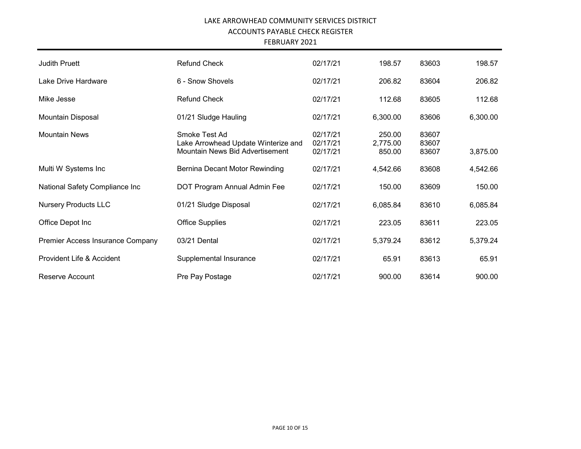| <b>Judith Pruett</b>             | <b>Refund Check</b>                                                                     | 02/17/21                         | 198.57                       | 83603                   | 198.57   |
|----------------------------------|-----------------------------------------------------------------------------------------|----------------------------------|------------------------------|-------------------------|----------|
| Lake Drive Hardware              | 6 - Snow Shovels                                                                        | 02/17/21                         | 206.82                       | 83604                   | 206.82   |
| Mike Jesse                       | <b>Refund Check</b>                                                                     | 02/17/21                         | 112.68                       | 83605                   | 112.68   |
| Mountain Disposal                | 01/21 Sludge Hauling                                                                    | 02/17/21                         | 6,300.00                     | 83606                   | 6,300.00 |
| <b>Mountain News</b>             | Smoke Test Ad<br>Lake Arrowhead Update Winterize and<br>Mountain News Bid Advertisement | 02/17/21<br>02/17/21<br>02/17/21 | 250.00<br>2,775.00<br>850.00 | 83607<br>83607<br>83607 | 3,875.00 |
| Multi W Systems Inc              | Bernina Decant Motor Rewinding                                                          | 02/17/21                         | 4,542.66                     | 83608                   | 4,542.66 |
| National Safety Compliance Inc   | DOT Program Annual Admin Fee                                                            | 02/17/21                         | 150.00                       | 83609                   | 150.00   |
| <b>Nursery Products LLC</b>      | 01/21 Sludge Disposal                                                                   | 02/17/21                         | 6,085.84                     | 83610                   | 6,085.84 |
| Office Depot Inc                 | <b>Office Supplies</b>                                                                  | 02/17/21                         | 223.05                       | 83611                   | 223.05   |
| Premier Access Insurance Company | 03/21 Dental                                                                            | 02/17/21                         | 5,379.24                     | 83612                   | 5,379.24 |
| Provident Life & Accident        | Supplemental Insurance                                                                  | 02/17/21                         | 65.91                        | 83613                   | 65.91    |
| Reserve Account                  | Pre Pay Postage                                                                         | 02/17/21                         | 900.00                       | 83614                   | 900.00   |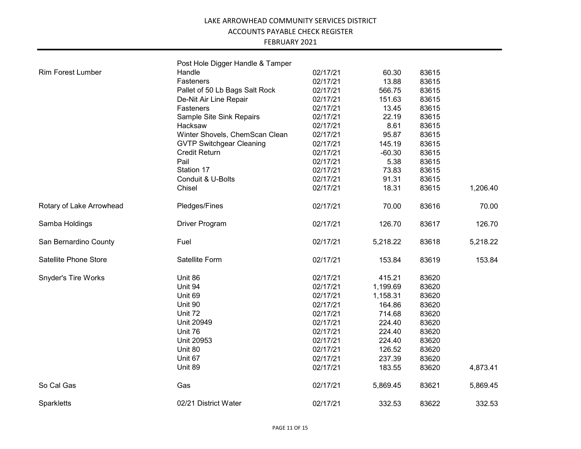|                            | Post Hole Digger Handle & Tamper |          |          |       |          |
|----------------------------|----------------------------------|----------|----------|-------|----------|
| <b>Rim Forest Lumber</b>   | Handle                           | 02/17/21 | 60.30    | 83615 |          |
|                            | Fasteners                        | 02/17/21 | 13.88    | 83615 |          |
|                            | Pallet of 50 Lb Bags Salt Rock   | 02/17/21 | 566.75   | 83615 |          |
|                            | De-Nit Air Line Repair           | 02/17/21 | 151.63   | 83615 |          |
|                            | Fasteners                        | 02/17/21 | 13.45    | 83615 |          |
|                            | Sample Site Sink Repairs         | 02/17/21 | 22.19    | 83615 |          |
|                            | Hacksaw                          | 02/17/21 | 8.61     | 83615 |          |
|                            | Winter Shovels, ChemScan Clean   | 02/17/21 | 95.87    | 83615 |          |
|                            | <b>GVTP Switchgear Cleaning</b>  | 02/17/21 | 145.19   | 83615 |          |
|                            | Credit Return                    | 02/17/21 | $-60.30$ | 83615 |          |
|                            | Pail                             | 02/17/21 | 5.38     | 83615 |          |
|                            | Station 17                       | 02/17/21 | 73.83    | 83615 |          |
|                            | Conduit & U-Bolts                | 02/17/21 | 91.31    | 83615 |          |
|                            | Chisel                           | 02/17/21 | 18.31    | 83615 | 1,206.40 |
| Rotary of Lake Arrowhead   | Pledges/Fines                    | 02/17/21 | 70.00    | 83616 | 70.00    |
| Samba Holdings             | Driver Program                   | 02/17/21 | 126.70   | 83617 | 126.70   |
| San Bernardino County      | Fuel                             | 02/17/21 | 5,218.22 | 83618 | 5,218.22 |
| Satellite Phone Store      | Satellite Form                   | 02/17/21 | 153.84   | 83619 | 153.84   |
| <b>Snyder's Tire Works</b> | Unit 86                          | 02/17/21 | 415.21   | 83620 |          |
|                            | Unit 94                          | 02/17/21 | 1,199.69 | 83620 |          |
|                            | Unit 69                          | 02/17/21 | 1,158.31 | 83620 |          |
|                            | Unit 90                          | 02/17/21 | 164.86   | 83620 |          |
|                            | Unit 72                          | 02/17/21 | 714.68   | 83620 |          |
|                            | <b>Unit 20949</b>                | 02/17/21 | 224.40   | 83620 |          |
|                            | Unit 76                          | 02/17/21 | 224.40   | 83620 |          |
|                            | Unit 20953                       | 02/17/21 | 224.40   | 83620 |          |
|                            | Unit 80                          | 02/17/21 | 126.52   | 83620 |          |
|                            | Unit 67                          | 02/17/21 | 237.39   | 83620 |          |
|                            | Unit 89                          | 02/17/21 | 183.55   | 83620 | 4,873.41 |
| So Cal Gas                 | Gas                              | 02/17/21 | 5,869.45 | 83621 | 5,869.45 |
| Sparkletts                 | 02/21 District Water             | 02/17/21 | 332.53   | 83622 | 332.53   |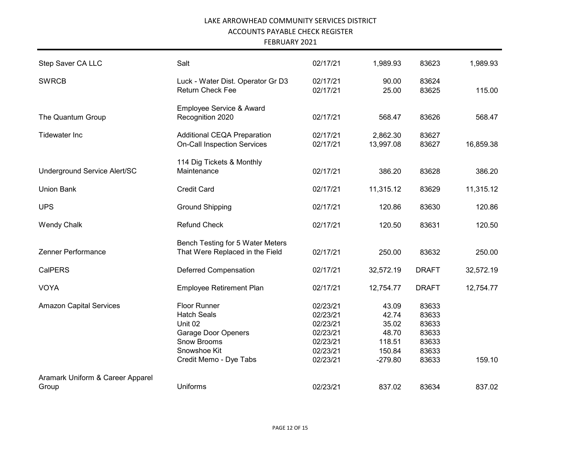| Step Saver CA LLC                         | Salt                                                                                                                                        | 02/17/21                                                                         | 1,989.93                                                          | 83623                                                       | 1,989.93  |
|-------------------------------------------|---------------------------------------------------------------------------------------------------------------------------------------------|----------------------------------------------------------------------------------|-------------------------------------------------------------------|-------------------------------------------------------------|-----------|
| <b>SWRCB</b>                              | Luck - Water Dist. Operator Gr D3<br><b>Return Check Fee</b>                                                                                | 02/17/21<br>02/17/21                                                             | 90.00<br>25.00                                                    | 83624<br>83625                                              | 115.00    |
| The Quantum Group                         | Employee Service & Award<br>Recognition 2020                                                                                                | 02/17/21                                                                         | 568.47                                                            | 83626                                                       | 568.47    |
| <b>Tidewater Inc</b>                      | Additional CEQA Preparation<br><b>On-Call Inspection Services</b>                                                                           | 02/17/21<br>02/17/21                                                             | 2,862.30<br>13,997.08                                             | 83627<br>83627                                              | 16,859.38 |
| Underground Service Alert/SC              | 114 Dig Tickets & Monthly<br>Maintenance                                                                                                    | 02/17/21                                                                         | 386.20                                                            | 83628                                                       | 386.20    |
| <b>Union Bank</b>                         | <b>Credit Card</b>                                                                                                                          | 02/17/21                                                                         | 11,315.12                                                         | 83629                                                       | 11,315.12 |
| <b>UPS</b>                                | <b>Ground Shipping</b>                                                                                                                      | 02/17/21                                                                         | 120.86                                                            | 83630                                                       | 120.86    |
| <b>Wendy Chalk</b>                        | <b>Refund Check</b>                                                                                                                         | 02/17/21                                                                         | 120.50                                                            | 83631                                                       | 120.50    |
| Zenner Performance                        | Bench Testing for 5 Water Meters<br>That Were Replaced in the Field                                                                         | 02/17/21                                                                         | 250.00                                                            | 83632                                                       | 250.00    |
| CalPERS                                   | <b>Deferred Compensation</b>                                                                                                                | 02/17/21                                                                         | 32,572.19                                                         | <b>DRAFT</b>                                                | 32,572.19 |
| <b>VOYA</b>                               | Employee Retirement Plan                                                                                                                    | 02/17/21                                                                         | 12,754.77                                                         | <b>DRAFT</b>                                                | 12,754.77 |
| <b>Amazon Capital Services</b>            | Floor Runner<br><b>Hatch Seals</b><br>Unit 02<br><b>Garage Door Openers</b><br><b>Snow Brooms</b><br>Snowshoe Kit<br>Credit Memo - Dye Tabs | 02/23/21<br>02/23/21<br>02/23/21<br>02/23/21<br>02/23/21<br>02/23/21<br>02/23/21 | 43.09<br>42.74<br>35.02<br>48.70<br>118.51<br>150.84<br>$-279.80$ | 83633<br>83633<br>83633<br>83633<br>83633<br>83633<br>83633 | 159.10    |
| Aramark Uniform & Career Apparel<br>Group | <b>Uniforms</b>                                                                                                                             | 02/23/21                                                                         | 837.02                                                            | 83634                                                       | 837.02    |
|                                           |                                                                                                                                             |                                                                                  |                                                                   |                                                             |           |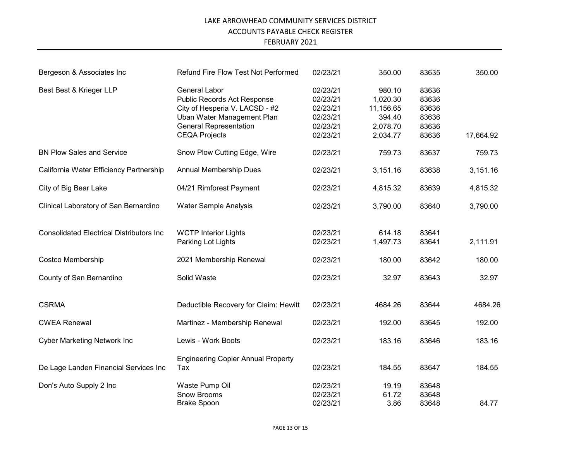| Bergeson & Associates Inc                       | Refund Fire Flow Test Not Performed                                                                                                                                          | 02/23/21                                                             | 350.00                                                            | 83635                                              | 350.00    |
|-------------------------------------------------|------------------------------------------------------------------------------------------------------------------------------------------------------------------------------|----------------------------------------------------------------------|-------------------------------------------------------------------|----------------------------------------------------|-----------|
| Best Best & Krieger LLP                         | <b>General Labor</b><br>Public Records Act Response<br>City of Hesperia V. LACSD - #2<br>Uban Water Management Plan<br><b>General Representation</b><br><b>CEQA Projects</b> | 02/23/21<br>02/23/21<br>02/23/21<br>02/23/21<br>02/23/21<br>02/23/21 | 980.10<br>1,020.30<br>11,156.65<br>394.40<br>2,078.70<br>2,034.77 | 83636<br>83636<br>83636<br>83636<br>83636<br>83636 | 17,664.92 |
| <b>BN Plow Sales and Service</b>                | Snow Plow Cutting Edge, Wire                                                                                                                                                 | 02/23/21                                                             | 759.73                                                            | 83637                                              | 759.73    |
| California Water Efficiency Partnership         | <b>Annual Membership Dues</b>                                                                                                                                                | 02/23/21                                                             | 3,151.16                                                          | 83638                                              | 3,151.16  |
| City of Big Bear Lake                           | 04/21 Rimforest Payment                                                                                                                                                      | 02/23/21                                                             | 4,815.32                                                          | 83639                                              | 4,815.32  |
| Clinical Laboratory of San Bernardino           | <b>Water Sample Analysis</b>                                                                                                                                                 | 02/23/21                                                             | 3,790.00                                                          | 83640                                              | 3,790.00  |
| <b>Consolidated Electrical Distributors Inc</b> | <b>WCTP Interior Lights</b><br>Parking Lot Lights                                                                                                                            | 02/23/21<br>02/23/21                                                 | 614.18<br>1,497.73                                                | 83641<br>83641                                     | 2,111.91  |
| Costco Membership                               | 2021 Membership Renewal                                                                                                                                                      | 02/23/21                                                             | 180.00                                                            | 83642                                              | 180.00    |
| County of San Bernardino                        | Solid Waste                                                                                                                                                                  | 02/23/21                                                             | 32.97                                                             | 83643                                              | 32.97     |
| <b>CSRMA</b>                                    | Deductible Recovery for Claim: Hewitt                                                                                                                                        | 02/23/21                                                             | 4684.26                                                           | 83644                                              | 4684.26   |
| <b>CWEA Renewal</b>                             | Martinez - Membership Renewal                                                                                                                                                | 02/23/21                                                             | 192.00                                                            | 83645                                              | 192.00    |
| <b>Cyber Marketing Network Inc.</b>             | Lewis - Work Boots                                                                                                                                                           | 02/23/21                                                             | 183.16                                                            | 83646                                              | 183.16    |
| De Lage Landen Financial Services Inc           | <b>Engineering Copier Annual Property</b><br>Tax                                                                                                                             | 02/23/21                                                             | 184.55                                                            | 83647                                              | 184.55    |
| Don's Auto Supply 2 Inc                         | Waste Pump Oil<br><b>Snow Brooms</b><br><b>Brake Spoon</b>                                                                                                                   | 02/23/21<br>02/23/21<br>02/23/21                                     | 19.19<br>61.72<br>3.86                                            | 83648<br>83648<br>83648                            | 84.77     |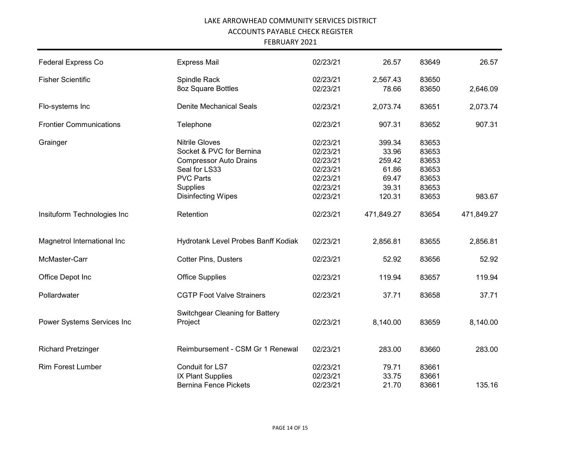| <b>Federal Express Co</b>      | <b>Express Mail</b>                        | 02/23/21 | 26.57      | 83649 | 26.57      |
|--------------------------------|--------------------------------------------|----------|------------|-------|------------|
| <b>Fisher Scientific</b>       | Spindle Rack                               | 02/23/21 | 2,567.43   | 83650 |            |
|                                | 8oz Square Bottles                         | 02/23/21 | 78.66      | 83650 | 2,646.09   |
| Flo-systems Inc                | <b>Denite Mechanical Seals</b>             | 02/23/21 | 2,073.74   | 83651 | 2,073.74   |
| <b>Frontier Communications</b> | Telephone                                  | 02/23/21 | 907.31     | 83652 | 907.31     |
| Grainger                       | <b>Nitrile Gloves</b>                      | 02/23/21 | 399.34     | 83653 |            |
|                                | Socket & PVC for Bernina                   | 02/23/21 | 33.96      | 83653 |            |
|                                | <b>Compressor Auto Drains</b>              | 02/23/21 | 259.42     | 83653 |            |
|                                |                                            |          |            |       |            |
|                                | Seal for LS33                              | 02/23/21 | 61.86      | 83653 |            |
|                                | <b>PVC Parts</b>                           | 02/23/21 | 69.47      | 83653 |            |
|                                | Supplies                                   | 02/23/21 | 39.31      | 83653 |            |
|                                | <b>Disinfecting Wipes</b>                  | 02/23/21 | 120.31     | 83653 | 983.67     |
| Insituform Technologies Inc    | Retention                                  | 02/23/21 | 471,849.27 | 83654 | 471,849.27 |
| Magnetrol International Inc    | Hydrotank Level Probes Banff Kodiak        | 02/23/21 | 2,856.81   | 83655 | 2,856.81   |
| McMaster-Carr                  | <b>Cotter Pins, Dusters</b>                | 02/23/21 | 52.92      | 83656 | 52.92      |
| Office Depot Inc               | <b>Office Supplies</b>                     | 02/23/21 | 119.94     | 83657 | 119.94     |
| Pollardwater                   | <b>CGTP Foot Valve Strainers</b>           | 02/23/21 | 37.71      | 83658 | 37.71      |
| Power Systems Services Inc     | Switchgear Cleaning for Battery<br>Project | 02/23/21 | 8,140.00   | 83659 | 8,140.00   |
| <b>Richard Pretzinger</b>      | Reimbursement - CSM Gr 1 Renewal           | 02/23/21 | 283.00     | 83660 | 283.00     |
| <b>Rim Forest Lumber</b>       | Conduit for LS7                            | 02/23/21 | 79.71      | 83661 |            |
|                                | IX Plant Supplies                          | 02/23/21 | 33.75      | 83661 |            |
|                                |                                            |          |            |       |            |
|                                | <b>Bernina Fence Pickets</b>               | 02/23/21 | 21.70      | 83661 | 135.16     |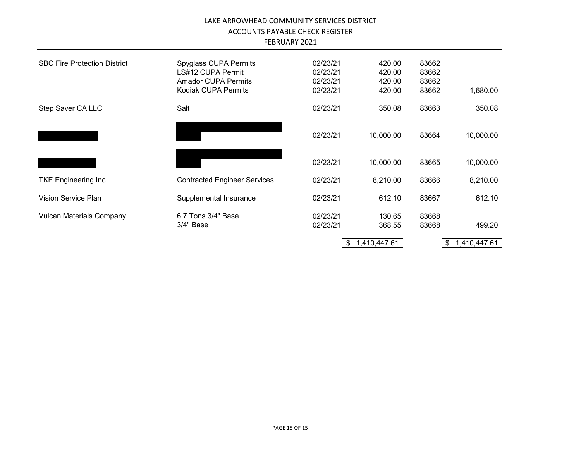| <b>FEBRUARY 2021</b> |  |
|----------------------|--|
|----------------------|--|

| <b>SBC Fire Protection District</b> | Spyglass CUPA Permits<br>LS#12 CUPA Permit<br><b>Amador CUPA Permits</b><br>Kodiak CUPA Permits | 02/23/21<br>02/23/21<br>02/23/21<br>02/23/21 | 420.00<br>420.00<br>420.00<br>420.00 | 83662<br>83662<br>83662<br>83662 | 1,680.00     |
|-------------------------------------|-------------------------------------------------------------------------------------------------|----------------------------------------------|--------------------------------------|----------------------------------|--------------|
| Step Saver CA LLC                   | Salt                                                                                            | 02/23/21                                     | 350.08                               | 83663                            | 350.08       |
|                                     |                                                                                                 | 02/23/21                                     | 10,000.00                            | 83664                            | 10,000.00    |
|                                     |                                                                                                 | 02/23/21                                     | 10,000.00                            | 83665                            | 10,000.00    |
| <b>TKE Engineering Inc</b>          | <b>Contracted Engineer Services</b>                                                             | 02/23/21                                     | 8,210.00                             | 83666                            | 8,210.00     |
| <b>Vision Service Plan</b>          | Supplemental Insurance                                                                          | 02/23/21                                     | 612.10                               | 83667                            | 612.10       |
| <b>Vulcan Materials Company</b>     | 6.7 Tons 3/4" Base                                                                              | 02/23/21                                     | 130.65                               | 83668                            |              |
|                                     | 3/4" Base                                                                                       | 02/23/21                                     | 368.55                               | 83668                            | 499.20       |
|                                     |                                                                                                 | \$                                           | 1,410,447.61                         | \$                               | 1,410,447.61 |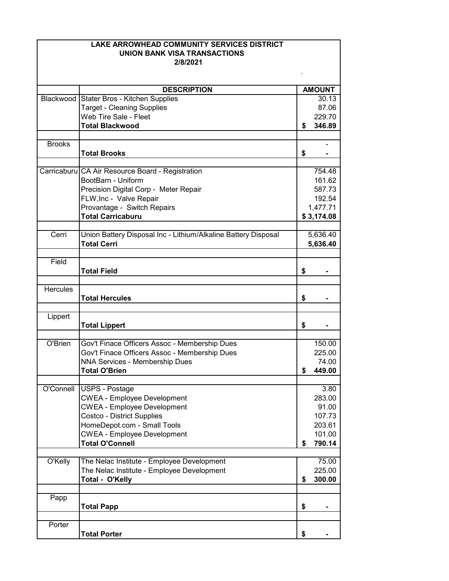| LAKE ARROWHEAD COMMUNITY SERVICES DISTRICT |                                                                |    |                |  |
|--------------------------------------------|----------------------------------------------------------------|----|----------------|--|
|                                            | <b>UNION BANK VISA TRANSACTIONS</b>                            |    |                |  |
|                                            | 2/8/2021                                                       |    |                |  |
|                                            |                                                                |    |                |  |
|                                            | <b>DESCRIPTION</b>                                             |    | <b>AMOUNT</b>  |  |
|                                            | Blackwood Stater Bros - Kitchen Supplies                       |    | 30.13          |  |
|                                            | <b>Target - Cleaning Supplies</b>                              |    | 87.06          |  |
|                                            | Web Tire Sale - Fleet                                          |    | 229.70         |  |
|                                            | <b>Total Blackwood</b>                                         | \$ | 346.89         |  |
|                                            |                                                                |    |                |  |
| <b>Brooks</b>                              |                                                                |    |                |  |
|                                            | <b>Total Brooks</b>                                            | \$ |                |  |
|                                            | Carricaburu CA Air Resource Board - Registration               |    | 754.48         |  |
|                                            | BootBarn - Uniform                                             |    | 161.62         |  |
|                                            | Precision Digital Corp - Meter Repair                          |    | 587.73         |  |
|                                            | FLW, Inc - Valve Repair                                        |    | 192.54         |  |
|                                            | Provantage - Switch Repairs                                    |    | 1,477.71       |  |
|                                            | <b>Total Carricaburu</b>                                       |    | \$3,174.08     |  |
|                                            |                                                                |    |                |  |
| Cerri                                      | Union Battery Disposal Inc - Lithium/Alkaline Battery Disposal |    | 5,636.40       |  |
|                                            | <b>Total Cerri</b>                                             |    | 5,636.40       |  |
|                                            |                                                                |    |                |  |
| Field                                      |                                                                |    |                |  |
|                                            | <b>Total Field</b>                                             | \$ |                |  |
| <b>Hercules</b>                            |                                                                |    |                |  |
|                                            | <b>Total Hercules</b>                                          | \$ |                |  |
|                                            |                                                                |    |                |  |
| Lippert                                    |                                                                |    |                |  |
|                                            | <b>Total Lippert</b>                                           | \$ |                |  |
|                                            |                                                                |    |                |  |
| O'Brien                                    | Gov't Finace Officers Assoc - Membership Dues                  |    | 150.00         |  |
|                                            | Gov't Finace Officers Assoc - Membership Dues                  |    | 225.00         |  |
|                                            | NNA Services - Membership Dues                                 |    | 74.00          |  |
|                                            | <b>Total O'Brien</b>                                           | \$ | 449.00         |  |
| O'Connell                                  |                                                                |    |                |  |
|                                            | USPS - Postage<br><b>CWEA - Employee Development</b>           |    | 3.80<br>283.00 |  |
|                                            | <b>CWEA - Employee Development</b>                             |    | 91.00          |  |
|                                            | <b>Costco - District Supplies</b>                              |    | 107.73         |  |
|                                            | HomeDepot.com - Small Tools                                    |    | 203.61         |  |
|                                            | <b>CWEA - Employee Development</b>                             |    | 101.00         |  |
|                                            | <b>Total O'Connell</b>                                         | S  | 790.14         |  |
|                                            |                                                                |    |                |  |
| O'Kelly                                    | The Nelac Institute - Employee Development                     |    | 75.00          |  |
|                                            | The Nelac Institute - Employee Development                     |    | 225.00         |  |
|                                            | Total - O'Kelly                                                | \$ | 300.00         |  |
|                                            |                                                                |    |                |  |
| Papp                                       |                                                                |    |                |  |
|                                            | <b>Total Papp</b>                                              | \$ |                |  |
| Porter                                     |                                                                |    |                |  |
|                                            | <b>Total Porter</b>                                            | \$ |                |  |
|                                            |                                                                |    |                |  |